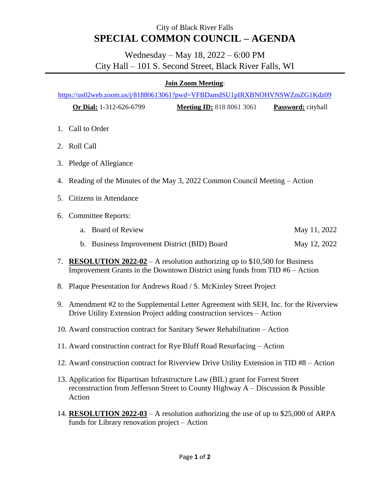## City of Black River Falls **SPECIAL COMMON COUNCIL – AGENDA**

## Wednesday – May 18, 2022 – 6:00 PM City Hall – 101 S. Second Street, Black River Falls, WI

## **Join Zoom Meeting**:

<https://us02web.zoom.us/j/81880613061?pwd=VFBDamdSU1pIRXBNOHVNSWZmZG1Kdz09>

**Or Dial:** 1-312-626-6799 **Meeting ID:** 818 8061 3061 **Password:** cityhall

- 1. Call to Order
- 2. Roll Call
- 3. Pledge of Allegiance
- 4. Reading of the Minutes of the May 3, 2022 Common Council Meeting Action
- 5. Citizens in Attendance
- 6. Committee Reports:
	- a. Board of Review May 11, 2022
	- b. Business Improvement District (BID) Board May 12, 2022
- 7. **RESOLUTION 2022-02** A resolution authorizing up to \$10,500 for Business Improvement Grants in the Downtown District using funds from TID #6 – Action
- 8. Plaque Presentation for Andrews Road / S. McKinley Street Project
- 9. Amendment #2 to the Supplemental Letter Agreement with SEH, Inc. for the Riverview Drive Utility Extension Project adding construction services – Action
- 10. Award construction contract for Sanitary Sewer Rehabilitation Action
- 11. Award construction contract for Rye Bluff Road Resurfacing Action
- 12. Award construction contract for Riverview Drive Utility Extension in TID #8 Action
- 13. Application for Bipartisan Infrastructure Law (BIL) grant for Forrest Street reconstruction from Jefferson Street to County Highway A – Discussion & Possible Action
- 14. **RESOLUTION 2022-03** A resolution authorizing the use of up to \$25,000 of ARPA funds for Library renovation project – Action